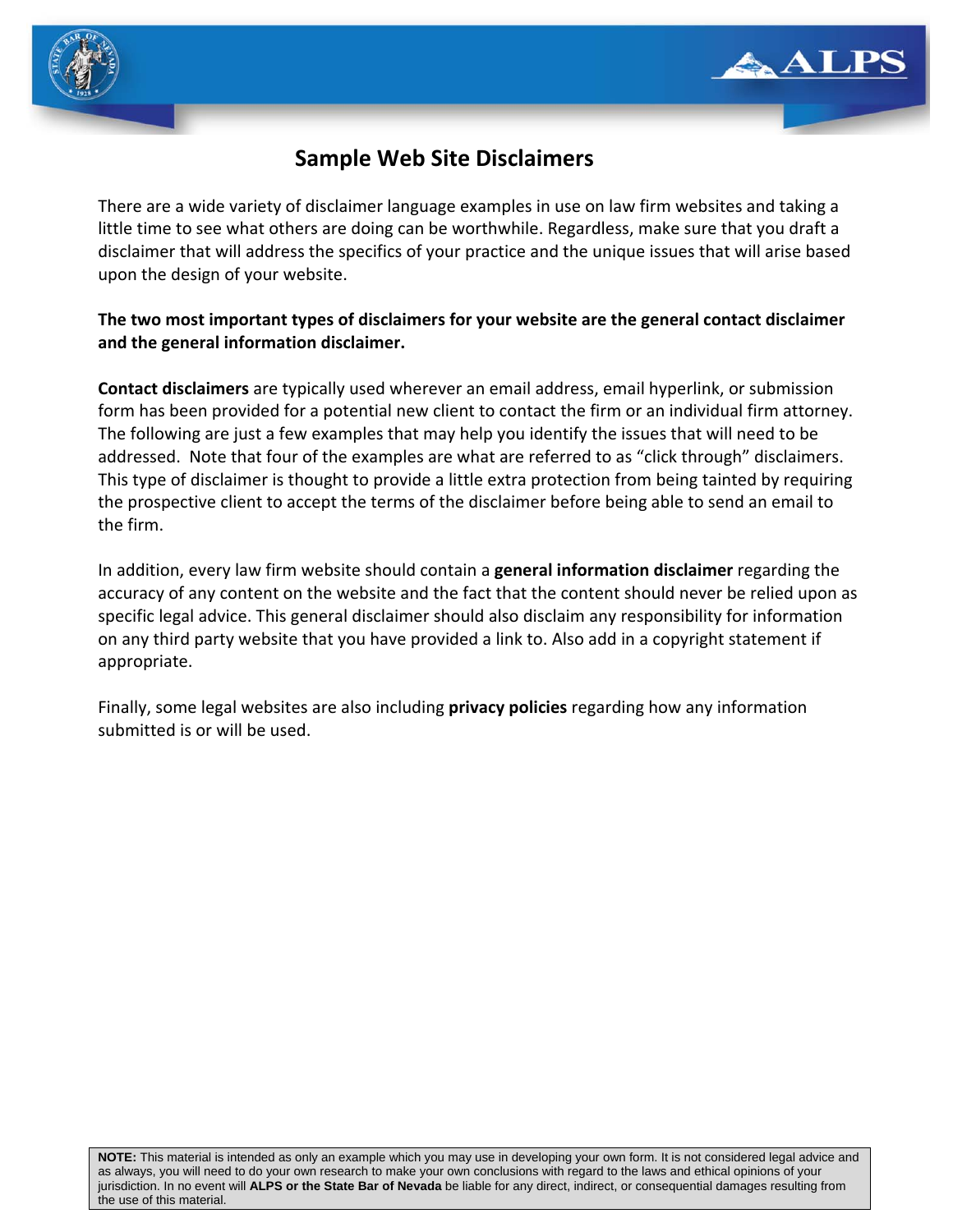



# **Sample Web Site Disclaimers**

There are a wide variety of disclaimer language examples in use on law firm websites and taking a little time to see what others are doing can be worthwhile. Regardless, make sure that you draft a disclaimer that will address the specifics of your practice and the unique issues that will arise based upon the design of your website.

### **The two most important types of disclaimers for your website are the general contact disclaimer and the general information disclaimer.**

**Contact disclaimers** are typically used wherever an email address, email hyperlink, or submission form has been provided for a potential new client to contact the firm or an individual firm attorney. The following are just a few examples that may help you identify the issues that will need to be addressed. Note that four of the examples are what are referred to as "click through" disclaimers. This type of disclaimer is thought to provide a little extra protection from being tainted by requiring the prospective client to accept the terms of the disclaimer before being able to send an email to the firm.

In addition, every law firm website should contain a **general information disclaimer** regarding the accuracy of any content on the website and the fact that the content should never be relied upon as specific legal advice. This general disclaimer should also disclaim any responsibility for information on any third party website that you have provided a link to. Also add in a copyright statement if appropriate.

Finally, some legal websites are also including **privacy policies** regarding how any information submitted is or will be used.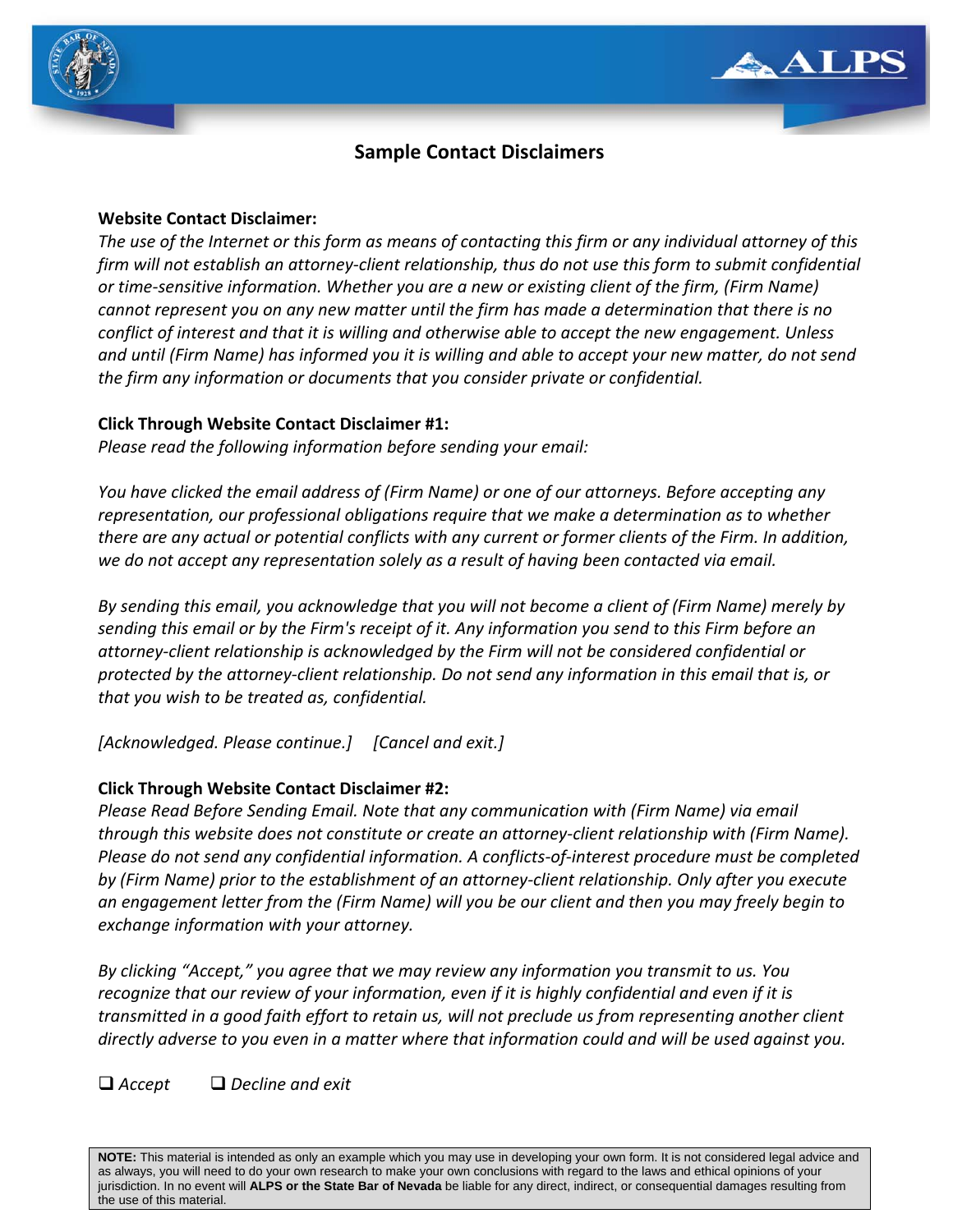



## **Sample Contact Disclaimers**

#### **Website Contact Disclaimer:**

The use of the Internet or this form as means of contacting this firm or any individual attorney of this firm will not establish an attorney-client relationship, thus do not use this form to submit confidential *or time‐sensitive information. Whether you are a new or existing client of the firm, (Firm Name) cannot represent you on any new matter until the firm has made a determination that there is no conflict of interest and that it is willing and otherwise able to accept the new engagement. Unless* and until (Firm Name) has informed you it is willing and able to accept your new matter, do not send *the firm any information or documents that you consider private or confidential.* 

#### **Click Through Website Contact Disclaimer #1:**

*Please read the following information before sending your email:*

*You have clicked the email address of (Firm Name) or one of our attorneys. Before accepting any representation, our professional obligations require that we make a determination as to whether* there are any actual or potential conflicts with any current or former clients of the Firm. In addition, *we do not accept any representation solely as a result of having been contacted via email.*

*By sending this email, you acknowledge that you will not become a client of (Firm Name) merely by* sending this email or by the Firm's receipt of it. Any information you send to this Firm before an *attorney‐client relationship is acknowledged by the Firm will not be considered confidential or* protected by the attorney-client relationship. Do not send any information in this email that is, or *that you wish to be treated as, confidential.*

*[Acknowledged. Please continue.] [Cancel and exit.]* 

### **Click Through Website Contact Disclaimer #2:**

*Please Read Before Sending Email. Note that any communication with (Firm Name) via email through this website does not constitute or create an attorney‐client relationship with (Firm Name). Please do not send any confidential information. A conflicts‐of‐interest procedure must be completed by (Firm Name) prior to the establishment of an attorney‐client relationship. Only after you execute* an engagement letter from the (Firm Name) will you be our client and then you may freely begin to *exchange information with your attorney.* 

*By clicking "Accept," you agree that we may review any information you transmit to us. You recognize that our review of your information, even if it is highly confidential and even if it is transmitted in a good faith effort to retain us, will not preclude us from representing another client* directly adverse to you even in a matter where that information could and will be used against you.

*Accept Decline and exit*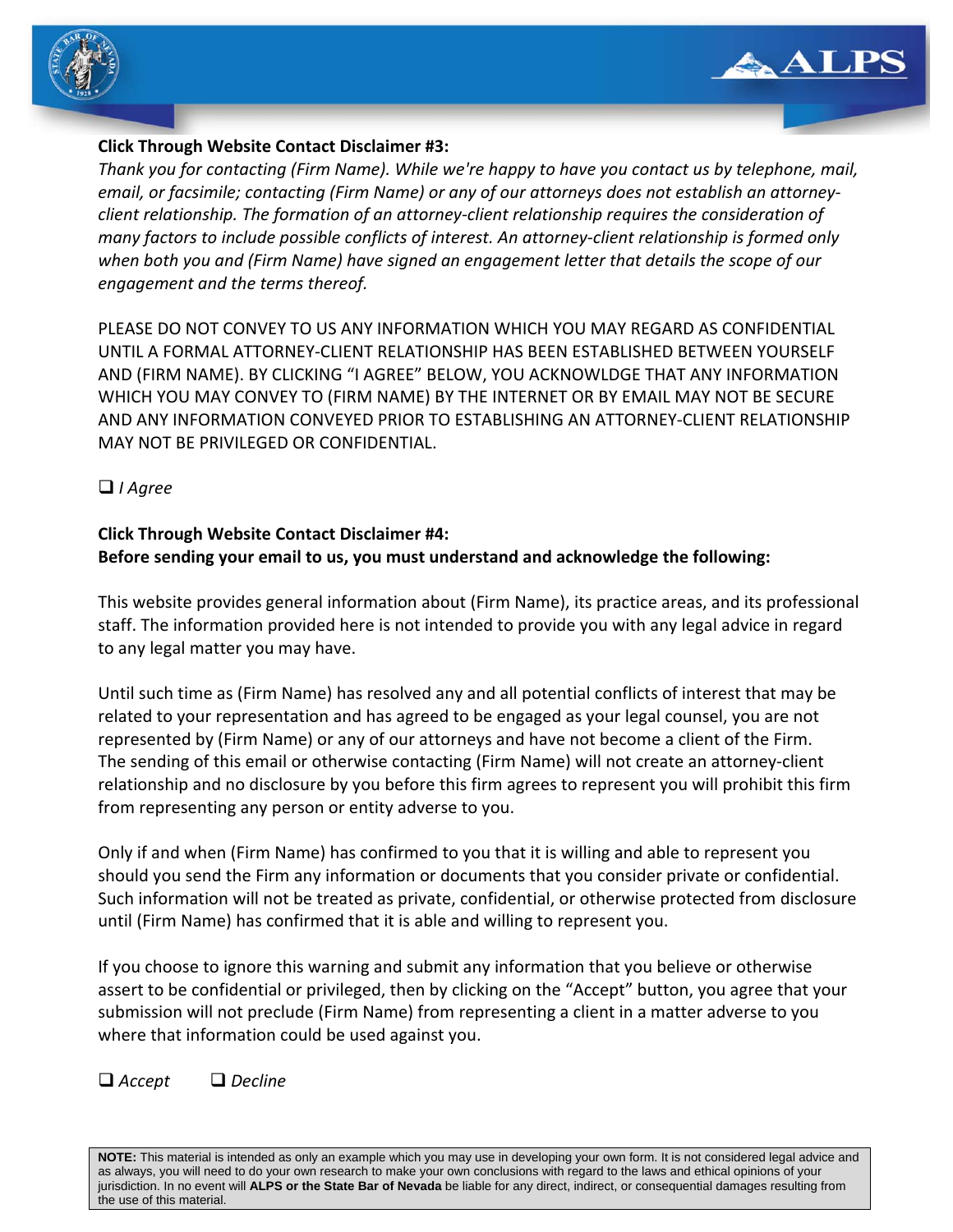



### **Click Through Website Contact Disclaimer #3:**

*Thank you for contacting (Firm Name). While we're happy to have you contact us by telephone, mail, email, or facsimile; contacting (Firm Name) or any of our attorneys does not establish an attorney‐ client relationship. The formation of an attorney‐client relationship requires the consideration of many factors to include possible conflicts of interest. An attorney‐client relationship is formed only when both you and (Firm Name) have signed an engagement letter that details the scope of our engagement and the terms thereof.*

PLEASE DO NOT CONVEY TO US ANY INFORMATION WHICH YOU MAY REGARD AS CONFIDENTIAL UNTIL A FORMAL ATTORNEY‐CLIENT RELATIONSHIP HAS BEEN ESTABLISHED BETWEEN YOURSELF AND (FIRM NAME). BY CLICKING "I AGREE" BELOW, YOU ACKNOWLDGE THAT ANY INFORMATION WHICH YOU MAY CONVEY TO (FIRM NAME) BY THE INTERNET OR BY EMAIL MAY NOT BE SECURE AND ANY INFORMATION CONVEYED PRIOR TO ESTABLISHING AN ATTORNEY‐CLIENT RELATIONSHIP MAY NOT BE PRIVILEGED OR CONFIDENTIAL.

### *I Agree*

#### **Click Through Website Contact Disclaimer #4: Before sending your email to us, you must understand and acknowledge the following:**

This website provides general information about (Firm Name), its practice areas, and its professional staff. The information provided here is not intended to provide you with any legal advice in regard to any legal matter you may have.

Until such time as (Firm Name) has resolved any and all potential conflicts of interest that may be related to your representation and has agreed to be engaged as your legal counsel, you are not represented by (Firm Name) or any of our attorneys and have not become a client of the Firm. The sending of this email or otherwise contacting (Firm Name) will not create an attorney‐client relationship and no disclosure by you before this firm agrees to represent you will prohibit this firm from representing any person or entity adverse to you.

Only if and when (Firm Name) has confirmed to you that it is willing and able to represent you should you send the Firm any information or documents that you consider private or confidential. Such information will not be treated as private, confidential, or otherwise protected from disclosure until (Firm Name) has confirmed that it is able and willing to represent you.

If you choose to ignore this warning and submit any information that you believe or otherwise assert to be confidential or privileged, then by clicking on the "Accept" button, you agree that your submission will not preclude (Firm Name) from representing a client in a matter adverse to you where that information could be used against you.

*Accept Decline*